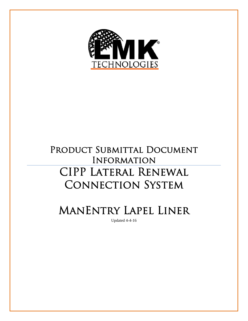

# PRODUCT SUBMITTAL DOCUMENT Information CIPP Lateral Renewal CONNECTION SYSTEM

ManEntry Lapel Liner

Updated 4-4-16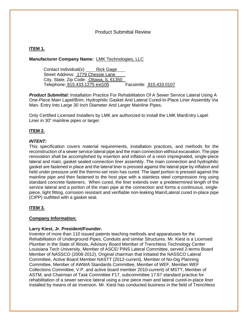# Product Submittal Review

# **ITEM 1.**

# **Manufacturer Company Name:** LMK Technologies, LLC

Contact Individual(s) Rick Gage Street Address: 1779 Chessie Lane City, State, Zip Code: Ottawa, IL 61350 Telephone: 815.433.1275 ext105 Facsimile: 815.433.0107

*Product Submittal:* Installation Practice For Rehabilitation Of A Sewer Service Lateral Using A One-Piece Main Lapel/Brim, Hydrophilic Gasket And Lateral Cured-In-Place Liner Assembly Via Man- Entry Into Large 30 Inch Diameter And Larger Mainline Pipes.

Only Certified Licensed Installers by LMK are authorized to install the LMK ManEntry Lapel Liner in 30" mainline pipes or larger.

# **ITEM 2.**

### *INTENT:*

This specification covers material requirements, installation practices, and methods for the reconstruction of a sewer service lateral pipe and the main connection without excavation. The pipe renovation shall be accomplished by insertion and inflation of a resin impregnated, single-piece lateral and main, gasket sealed connection liner assembly. The main connection and hydrophilic gasket are fastened in place and the lateral liner is pressed against the lateral pipe by inflation and held under pressure until the thermo-set resin has cured. The lapel portion is pressed against the mainline pipe and then fastened to the host pipe with a stainless steel compression ring using standard concrete fasteners. When cured, the liner extends over a predetermined length of the service lateral and a portion of the main pipe at the connection and forms a continuous, singlepiece, tight fitting, corrosion resistant and verifiable non-leaking Main/Lateral cured in-place pipe (CIPP) outfitted with a gasket seal.

# **ITEM 3.**

# **Company Information:**

#### **Larry Kiest, Jr. President/Founder.**

Inventor of more than 110 issued patents teaching methods and apparatuses for the Rehabilitation of Underground Pipes, Conduits and similar Structures. Mr. Kiest is a Licensed Plumber in the State of Illinois, Advisory Board Member of Trenchless Technology Center Louisiana Tech University, Member of ASCE/ PINS Lateral Committee, served 2-terms Board Member of NASSCO (2008-2012), Original chairman that initiated the NASSCO Lateral Committee, Active Board Member NASTT (2012-current), Member of No-Dig Planning Committee, Member of AWWA Standards Committee, Member of WEF, Member WEF Collections Committee, V.P. and active board member 2010-current) of MSTT, Member of ASTM, and Chairman of Task Committee F17, subcommittee 17.67 standard practice for rehabilitation of a sewer service lateral using a one piece main and lateral cured-in-place liner installed by means of air inversion. Mr. Kiest has conducted business in the field of Trenchless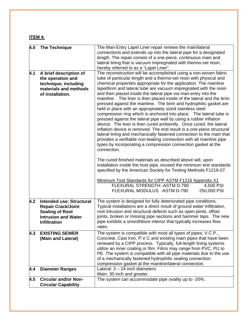# **ITEM 4.**

| 4.0 | <b>The Technique</b>            | The Man-Entry Lapel Liner repair renews the main/lateral                |
|-----|---------------------------------|-------------------------------------------------------------------------|
|     |                                 | connections and extends up into the lateral pipe for a designated       |
|     |                                 | length. The repair consist of a one-piece, continuous main and          |
|     |                                 | lateral lining that is vacuum impregnated with thermo-set resin;        |
|     |                                 | hereby referred to as a "Lapel Liner".                                  |
| 4.1 | A brief description of          | The reconstruction will be accomplished using a non-woven fabric        |
|     | the operation and               | tube of particular length and a thermo-set resin with physical and      |
|     | technique; including            | chemical properties appropriate for the application. The mainline       |
|     | materials and methods           | lapel/brim and lateral tube are vacuum impregnated with the resin       |
|     | of installation.                | and then placed inside the lateral pipe via man-entry into the          |
|     |                                 | mainline. The liner is then placed inside of the lateral and the brim   |
|     |                                 | pressed against the mainline. The brim and hydrophilic gasket are       |
|     |                                 | held in place with an appropriately sized stainless steel               |
|     |                                 | compression ring which is anchored into place. The lateral tube is      |
|     |                                 | pressed against the lateral pipe wall by using a rubber inflation       |
|     |                                 | device. The liner is then cured ambiently. Once cured, the lateral      |
|     |                                 | inflation device is removed. The end result is a one-piece structural   |
|     |                                 | lateral lining and mechanically fastened connection to the main that    |
|     |                                 | provides a verifiable non-leaking connection with all mainline pipe     |
|     |                                 | types by incorporating a compression connection gasket at the           |
|     |                                 | connection.                                                             |
|     |                                 |                                                                         |
|     |                                 | The cured finished materials as described above will, upon              |
|     |                                 | installation inside the host pipe, exceed the minimum test standards    |
|     |                                 | specified by the American Society for Testing Methods F1216-07.         |
|     |                                 | Minimum Test Standards for CIPP ASTM F1216 Appendix X1                  |
|     |                                 | FLEXURAL STRENGTH - ASTM D-790<br>4,500 PSI                             |
|     |                                 | FLEXURAL MODULUS - ASTM D-790<br>250,000 PSI                            |
|     |                                 |                                                                         |
| 4.2 | <b>Intended use: Structural</b> | The system is designed for fully deteriorated pipe conditions.          |
|     | <b>Repair Crack/Joint</b>       | Typical installations are a direct result of ground water infiltration, |
|     | <b>Sealing of Root</b>          | root intrusion and structural defects such as open joints, offset       |
|     | <b>Intrusion and Water</b>      | joints, broken or missing pipe sections and hammer taps. The new        |
|     | <b>Infiltration</b>             | pipe exhibits a smoothbore interior that typically increases flow       |
|     |                                 | rates.                                                                  |
| 4.3 | <b>EXISTING SEWER</b>           | The system is compatible with most all types of pipes; V.C.P.,          |
|     | (Main and Lateral)              | Concrete, Cast Iron, P.V.C and existing main pipes that have been       |
|     |                                 | renewed by a CIPP process. Typically, full-length lining systems        |
|     |                                 | utilize an inner coating or film. Films may range from PVC, PU to       |
|     |                                 | PE. The system is compatible with all pipe materials due to the use     |
|     |                                 | of a mechanically fastened hydrophilic sealing connection               |
|     |                                 | compression gasket at the mainline/lateral connection.                  |
| 4.4 | <b>Diameter Ranges</b>          | Lateral: $3 - 24$ inch diameters.                                       |
|     |                                 | Main: 30 inch and greater.                                              |
| 4.5 | <b>Circular and/or Non-</b>     | The system can accommodate pipe ovality up to -20%.                     |
|     | <b>Circular Capability</b>      |                                                                         |
|     |                                 |                                                                         |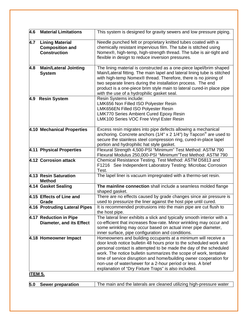| 4.6            | <b>Material Limitations</b>     | This system is designed for gravity sewers and low pressure piping.                                                                     |  |  |
|----------------|---------------------------------|-----------------------------------------------------------------------------------------------------------------------------------------|--|--|
| 4.7            | <b>Lining Material</b>          | Needle punched felt or proprietary knitted tubes coated with a                                                                          |  |  |
|                | <b>Composition and</b>          | chemically resistant impervious film. The tube is stitched using                                                                        |  |  |
|                | <b>Construction</b>             | Nomex®, high-temp, high-strength thread. The tube is air-tight and                                                                      |  |  |
|                |                                 | flexible in design to reduce inversion pressures.                                                                                       |  |  |
| 4.8            | <b>Main/Lateral Jointing</b>    | The lining material is constructed as a one-piece lapel/brim shaped                                                                     |  |  |
|                | <b>System</b>                   | Main/Lateral fitting. The main lapel and lateral lining tube is stitched                                                                |  |  |
|                |                                 | with high-temp Nomex® thread. Therefore, there is no joining of<br>two separate liners during the installation process. The end         |  |  |
|                |                                 | product is a one-piece brim style main to lateral cured-in place pipe                                                                   |  |  |
|                |                                 | with the use of a hydrophilic gasket seal.                                                                                              |  |  |
|                | 4.9 Resin System                | Resin Systems include:                                                                                                                  |  |  |
|                |                                 | LMK656 Non Filled ISO Polyester Resin                                                                                                   |  |  |
|                |                                 | LMK656EN Filled ISO Polyester Resin                                                                                                     |  |  |
|                |                                 | <b>LMK770 Series Ambient Cured Epoxy Resin</b>                                                                                          |  |  |
|                |                                 | LMK100 Series VOC Free Vinyl Ester Resin                                                                                                |  |  |
|                | 4.10 Mechanical Properties      | Excess resin migrates into pipe defects allowing a mechanical                                                                           |  |  |
|                |                                 | anchoring. Concrete anchors (1/4" x 2 1/4") by Tapcon <sup>®</sup> are used to                                                          |  |  |
|                |                                 | secure the stainless steel compression ring, cured-in-place lapel                                                                       |  |  |
|                |                                 | portion and hydrophilic hat style gasket.                                                                                               |  |  |
|                | 4.11 Physical Properties        | Flexural Strength 4,500-PSI "Minimum" Test Method: ASTM 790                                                                             |  |  |
|                |                                 | Flexural Modulus 250,000-PSI "Minimum"Test Method: ASTM 790                                                                             |  |  |
|                | 4.12 Corrosion attack           | Chemical Resistance Testing. Test Method: ASTM D5813 and<br>F1216 See Independent Laboratory Testing: Microbac Corrosion                |  |  |
|                |                                 | Test.                                                                                                                                   |  |  |
|                | 4.13 Resin Saturation           | The lapel liner is vacuum impregnated with a thermo-set resin.                                                                          |  |  |
|                | <b>Method</b>                   |                                                                                                                                         |  |  |
|                | 4.14 Gasket Sealing             | The mainline connection shall include a seamless molded flange                                                                          |  |  |
|                | 4.15 Effects of Line and        | shaped gasket.<br>There are no effects caused by grade changes since air pressure is                                                    |  |  |
|                | Grade                           | used to pressurize the liner against the host pipe until cured.                                                                         |  |  |
|                | 4.16 Protruding Lateral Pipes   | It is recommended protrusions into the main pipe are cut flush to                                                                       |  |  |
|                |                                 | the host pipe.                                                                                                                          |  |  |
|                | 4.17 Reduction in Pipe          | The lateral liner exhibits a slick and typically smooth interior with a                                                                 |  |  |
|                | <b>Diameter, and its Effect</b> | co-efficient that increases flow-rate. Minor wrinkling may occur and                                                                    |  |  |
|                |                                 | some wrinkling may occur based on actual inner pipe diameter,                                                                           |  |  |
|                |                                 | inner surface, pipe configuration and conditions.                                                                                       |  |  |
|                | 4.18 Homeowner Impact           | Homeowners and building occupants at a minimum will receive a                                                                           |  |  |
|                |                                 | door knob notice bulletin 48 hours prior to the scheduled work and                                                                      |  |  |
|                |                                 | personal contact is attempted to be made the day of the scheduled                                                                       |  |  |
|                |                                 | work. The notice bulletin summarizes the scope of work, tentative<br>time of service disruption and home/building owner cooperation for |  |  |
|                |                                 | non-use of water/sewer for a 2-hour period or less. A brief                                                                             |  |  |
|                |                                 | explanation of "Dry Fixture Traps" is also included.                                                                                    |  |  |
| <u>ITEM 5.</u> |                                 |                                                                                                                                         |  |  |
| 5.0            | <b>Sewer preparation</b>        | The main and the laterals are cleaned utilizing high-pressure water                                                                     |  |  |
|                |                                 |                                                                                                                                         |  |  |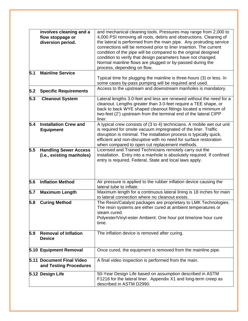|            | involves cleaning and a<br>flow stoppage or<br>diversion period. | and mechanical cleaning tools. Pressures may range from 2,000 to<br>4,000 PSI removing all roots, debris and obstructions. Cleaning of<br>the lateral is performed from the main pipe. Any protruding service<br>connections will be removed prior to liner insertion. The current<br>condition of the pipe will be compared to the original designed<br>condition to verify that design parameters have not changed.<br>Normal mainline flows are plugged or by-passed during the<br>process, depending on flow. |
|------------|------------------------------------------------------------------|-------------------------------------------------------------------------------------------------------------------------------------------------------------------------------------------------------------------------------------------------------------------------------------------------------------------------------------------------------------------------------------------------------------------------------------------------------------------------------------------------------------------|
| 5.1<br>5.2 | <b>Mainline Service</b><br><b>Specific Requirements</b>          | Typical time for plugging the mainline is three-hours (3) or less. In<br>some cases by-pass pumping will be required and used.<br>Access to the upstream and downstream manholes is mandatory.                                                                                                                                                                                                                                                                                                                    |
| 5.3        | <b>Cleanout System</b>                                           | Lateral lengths 3.0-feet and less are renewed without the need for a<br>cleanout. Lengths greater than 3.0-feet require a TEE shape, or<br>back to back WYE shaped cleanout fittings located a minimum of<br>two-feet (2') upstream from the terminal end of the lateral CIPP<br>liner.                                                                                                                                                                                                                           |
| 5.4        | <b>Installation Crew and</b><br><b>Equipment</b>                 | A typical crew consists of (3 to 4) technicians. A mobile wet out unit<br>is required for onsite vacuum impregnated of the liner. Traffic<br>disruption is minimal. The installation process is typically quick,<br>efficient and non-disruptive with no need for surface restoration<br>when compared to open cut replacement methods.                                                                                                                                                                           |
| 5.5        | <b>Handling Sewer Access</b><br>(i.e., existing manholes)        | Licensed and Trained Technicians remotely carry out the<br>installation. Entry into a manhole is absolutely required. If confined<br>entry is required, Federal, State and local laws apply.                                                                                                                                                                                                                                                                                                                      |
| 5.6        | <b>Inflation Method</b>                                          | Air pressure is applied to the rubber inflation device causing the<br>lateral tube to inflate.                                                                                                                                                                                                                                                                                                                                                                                                                    |
| 5.7        | <b>Maximum Length</b>                                            | Maximum length for a continuous lateral lining is 18 inches for main<br>to lateral connection where no cleanout exists.                                                                                                                                                                                                                                                                                                                                                                                           |
| 5.8        | <b>Curing Method</b>                                             | The Resin/Catalyst packages are proprietary to LMK Technologies.<br>The resin systems are either cured at ambient temperatures or<br>steam cured.<br>Polyester/Vinyl-ester Ambient: One hour pot time/one hour cure<br>time.                                                                                                                                                                                                                                                                                      |
| 5.9        | <b>Removal of Inflation</b><br><b>Device</b>                     | The inflation device is removed after curing.                                                                                                                                                                                                                                                                                                                                                                                                                                                                     |
|            | 5.10 Equipment Removal                                           | Once cured, the equipment is removed from the mainline pipe.                                                                                                                                                                                                                                                                                                                                                                                                                                                      |
|            | 5.11 Document Final Video<br>and Testing Procedures              | A final video inspection is performed from the main.                                                                                                                                                                                                                                                                                                                                                                                                                                                              |
|            | 5.12 Design Life                                                 | 50-Year Design Life based on assumption described in ASTM<br>F1216 for the lateral liner. Appendix X1 and long-term creep as<br>described in ASTM D2990.                                                                                                                                                                                                                                                                                                                                                          |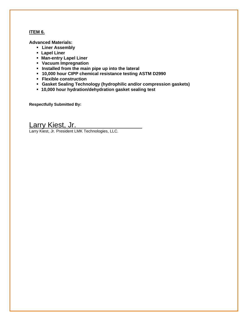# **ITEM 6.**

**Advanced Materials:** 

- **Liner Assembly**
- **Lapel Liner**
- **Man-entry Lapel Liner**
- **Vacuum Impregnation**
- $\blacksquare$  Installed from the main pipe up into the lateral
- **10,000 hour CIPP chemical resistance testing ASTM D2990**
- **Flexible construction**
- **Gasket Sealing Technology (hydrophilic and/or compression gaskets)**
- **10,000 hour hydration/dehydration gasket sealing test**

**Respectfully Submitted By:** 

# Larry Kiest, Jr.

Larry Kiest, Jr. President LMK Technologies, LLC.